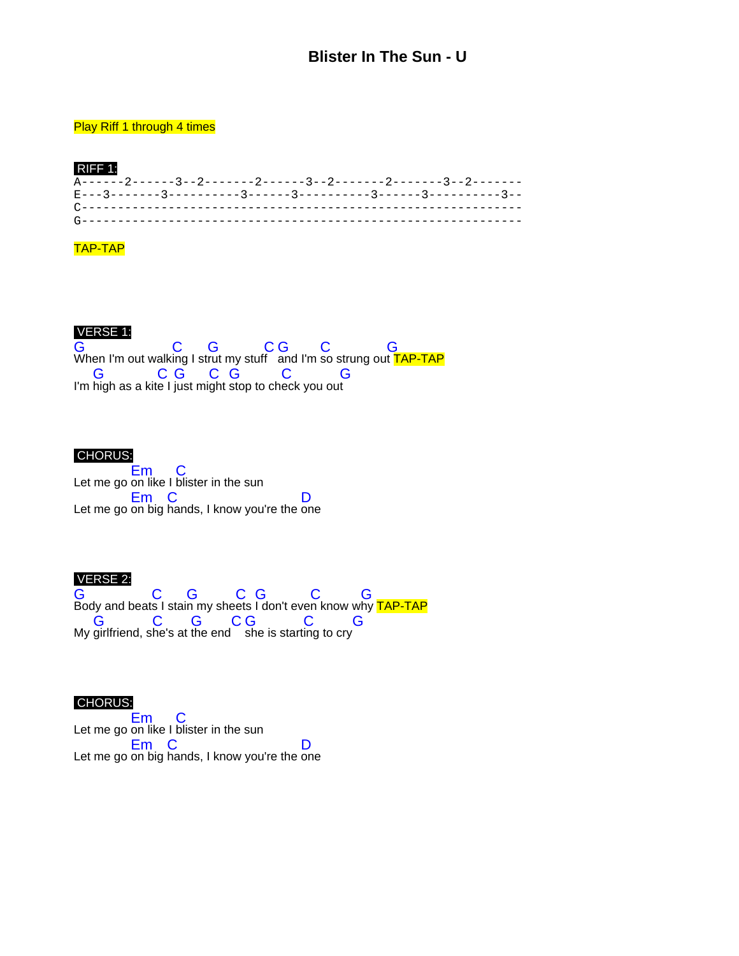# **Blister In The Sun - U**

### **Play Riff 1 through 4 times**

#### RIFF 1: A------2------3--2-------2------3--2-------2-------3--2------- E---3-------3----------3------3----------3------3----------3-- C------------------------------------------------------------- G-------------------------------------------------------------

## TAP-TAP

## VERSE 1:

G When I'm out walk  $\mathbf C$ ing I st G rut my stuf C f G and I'm C so strung ou G t <mark>TAP-TAP</mark> I'm G high as a kit C e I G just mi C ght G stop to ch C eck you ou G t

### CHORUS:

Let me go Em on like I C blister in the sun Let me go Em on big C hands, I know you're the D one

### VERSE 2:

G Body and beat C s I stai G n my she C ets G I don't eve C n know w G hy <mark>TAP-TAP</mark> My G girlfriend, s C he's at G the end C G she is start C ing to cry G

### CHORUS:

Let me go Em on like I C blister in the sun Let me go Em on big  $\mathbf C$ hands, I know you're the D one